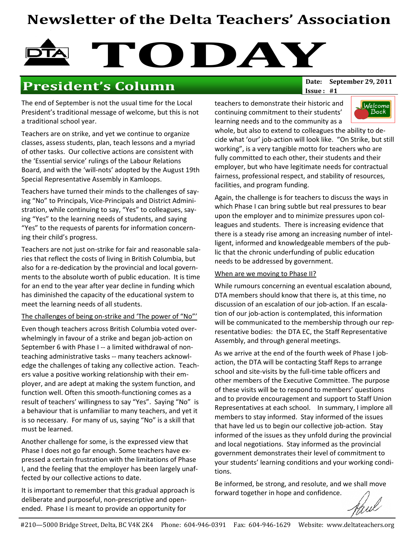# Newsletter of the Delta Teachers' Association

# TODAY

## President's Column Date: September 29, 2011

The end of September is not the usual time for the Local President's traditional message of welcome, but this is not a traditional school year.

Teachers are on strike, and yet we continue to organize classes, assess students, plan, teach lessons and a myriad of other tasks. Our collective actions are consistent with the 'Essential service' rulings of the Labour Relations Board, and with the 'will-nots' adopted by the August 19th Special Representative Assembly in Kamloops.

Teachers have turned their minds to the challenges of saying "No" to Principals, Vice-Principals and District Administration, while continuing to say, "Yes" to colleagues, saying "Yes" to the learning needs of students, and saying "Yes" to the requests of parents for information concerning their child's progress.

Teachers are not just on-strike for fair and reasonable salaries that reflect the costs of living in British Columbia, but also for a re-dedication by the provincial and local governments to the absolute worth of public education. It is time for an end to the year after year decline in funding which has diminished the capacity of the educational system to meet the learning needs of all students.

#### The challenges of being on-strike and 'The power of "No"'

Even though teachers across British Columbia voted overwhelmingly in favour of a strike and began job-action on September 6 with Phase I -- a limited withdrawal of nonteaching administrative tasks -- many teachers acknowledge the challenges of taking any collective action. Teachers value a positive working relationship with their employer, and are adept at making the system function, and function well. Often this smooth-functioning comes as a result of teachers' willingness to say "Yes". Saying "No" is a behaviour that is unfamiliar to many teachers, and yet it is so necessary. For many of us, saying "No" is a skill that must be learned.

Another challenge for some, is the expressed view that Phase I does not go far enough. Some teachers have expressed a certain frustration with the limitations of Phase I, and the feeling that the employer has been largely unaffected by our collective actions to date.

It is important to remember that this gradual approach is deliberate and purposeful, non-prescriptive and openended. Phase I is meant to provide an opportunity for

Issue : #1

teachers to demonstrate their historic and continuing commitment to their students' learning needs and to the community as a



whole, but also to extend to colleagues the ability to decide what 'our' job-action will look like. "On Strike, but still working", is a very tangible motto for teachers who are fully committed to each other, their students and their employer, but who have legitimate needs for contractual fairness, professional respect, and stability of resources, facilities, and program funding.

Again, the challenge is for teachers to discuss the ways in which Phase I can bring subtle but real pressures to bear upon the employer and to minimize pressures upon colleagues and students. There is increasing evidence that there is a steady rise among an increasing number of intelligent, informed and knowledgeable members of the public that the chronic underfunding of public education needs to be addressed by government.

#### When are we moving to Phase II?

While rumours concerning an eventual escalation abound, DTA members should know that there is, at this time, no discussion of an escalation of our job-action. If an escalation of our job-action is contemplated, this information will be communicated to the membership through our representative bodies: the DTA EC, the Staff Representative Assembly, and through general meetings.

As we arrive at the end of the fourth week of Phase I jobaction, the DTA will be contacting Staff Reps to arrange school and site-visits by the full-time table officers and other members of the Executive Committee. The purpose of these visits will be to respond to members' questions and to provide encouragement and support to Staff Union Representatives at each school. In summary, I implore all members to stay informed. Stay informed of the issues that have led us to begin our collective job-action. Stay informed of the issues as they unfold during the provincial and local negotiations. Stay informed as the provincial government demonstrates their level of commitment to your students' learning conditions and your working conditions.

Be informed, be strong, and resolute, and we shall move forward together in hope and confidence.